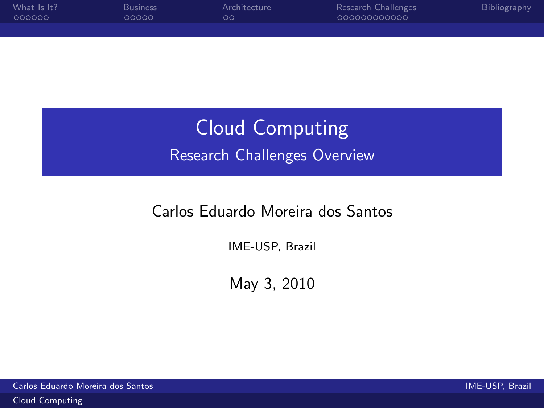| What Is It? | <b>Business</b> | Architecture | Research Challenges | Bibliography |
|-------------|-----------------|--------------|---------------------|--------------|
| 000000      | 20000           | ററ           | 000000000000        |              |
|             |                 |              |                     |              |

# Cloud Computing Research Challenges Overview

#### Carlos Eduardo Moreira dos Santos

IME-USP, Brazil

<span id="page-0-0"></span>May 3, 2010

Carlos Eduardo Moreira dos Santos IME-USP, Brazil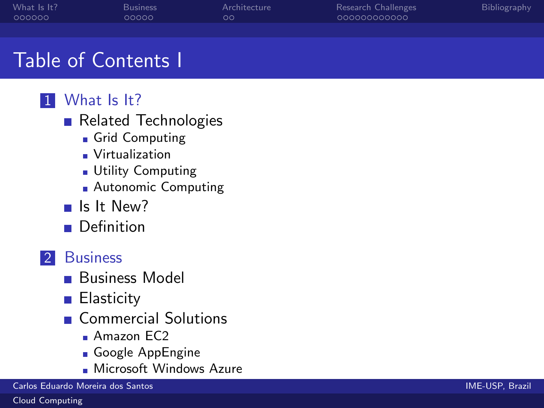| What Is It? | <b>Business</b> | Architecture | Research Challenges | Bibliography |
|-------------|-----------------|--------------|---------------------|--------------|
| - 000000    | 00000           | ററ           | 000000000000        |              |

### Table of Contents I

### 1 [What Is It?](#page-3-0)

- [Related Technologies](#page-4-0)
	- [Grid Computing](#page-4-0)
	- [Virtualization](#page-5-0)
	- **[Utility Computing](#page-6-0)**
	- **[Autonomic Computing](#page-7-0)**
- [Is It New?](#page-8-0)
- **[Definition](#page-9-0)**

### 2 [Business](#page-10-0)

- **[Business Model](#page-11-0)**
- **[Elasticity](#page-12-0)**
- [Commercial Solutions](#page-13-0)
	- **Amazon FC2**
	- [Google AppEngine](#page-14-0)
	- **[Microsoft Windows Azure](#page-15-0)**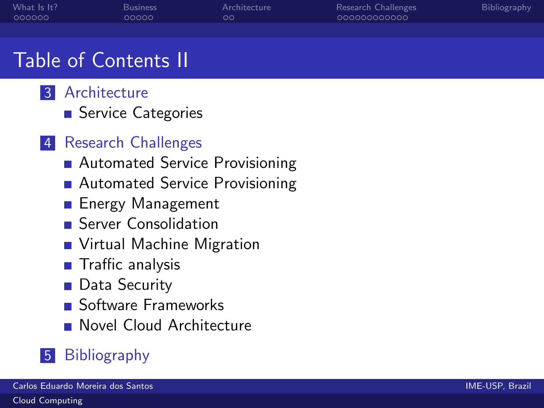| What Is It? | <b>Business</b> | Architecture | Research Challenges | Bibliography |
|-------------|-----------------|--------------|---------------------|--------------|
| - 000000    | 00000           | ററ           | 000000000000        |              |

### Table of Contents II



■ [Service Categories](#page-16-0)

#### 4 [Research Challenges](#page-18-0)

- [Automated Service Provisioning](#page-18-0)
- [Automated Service Provisioning](#page-19-0)
- **[Energy Management](#page-20-0)**
- **[Server Consolidation](#page-24-0)**
- **[Virtual Machine Migration](#page-25-0)**
- [Traffic analysis](#page-26-0)
- [Data Security](#page-27-0)
- **[Software Frameworks](#page-28-0)**
- **[Novel Cloud Architecture](#page-29-0)**

### 5 [Bibliography](#page-30-0)

[Cloud Computing](#page-0-0)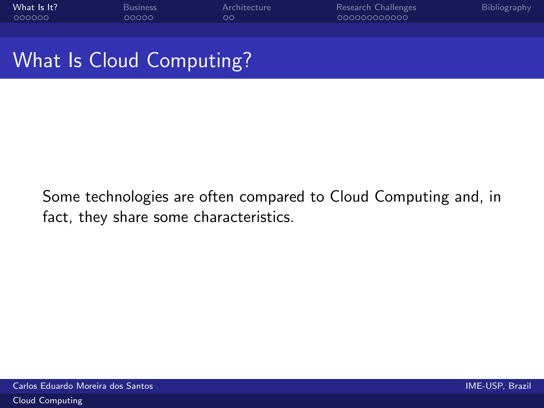| What Is It? | Business | Architecture | Research Challenges | Bibliography |
|-------------|----------|--------------|---------------------|--------------|
| - 000000    | 20000    | OO'          | 000000000000        |              |
|             |          |              |                     |              |

### What Is Cloud Computing?

<span id="page-3-0"></span>Some technologies are often compared to Cloud Computing and, in fact, they share some characteristics.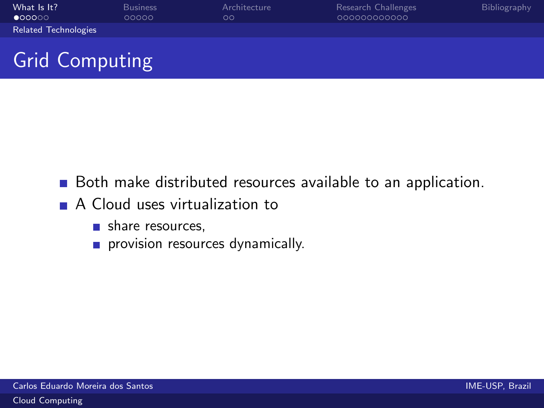| What Is It?<br>$\bullet$ 00000 | <b>Business</b><br>00000 | Architecture<br>$\circ$ | Research Challenges<br>000000000000 | Bibliography |
|--------------------------------|--------------------------|-------------------------|-------------------------------------|--------------|
|                                |                          |                         |                                     |              |
| <b>Related Technologies</b>    |                          |                         |                                     |              |

# Grid Computing

- Both make distributed resources available to an application.
- <span id="page-4-0"></span>A Cloud uses virtualization to
	- share resources,
	- provision resources dynamically.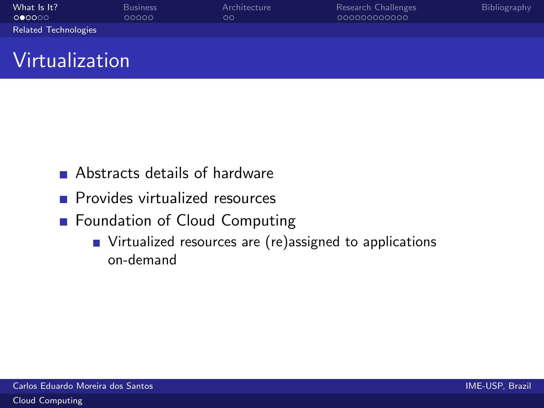| What Is It?                 | <b>Business</b> | Architecture | Research Challenges | <b>Bibliography</b> |
|-----------------------------|-----------------|--------------|---------------------|---------------------|
| 000000                      | 00000           | $\circ$      | 000000000000        |                     |
| <b>Related Technologies</b> |                 |              |                     |                     |
|                             |                 |              |                     |                     |

### Virtualization

- Abstracts details of hardware
- **Provides virtualized resources**
- <span id="page-5-0"></span>■ Foundation of Cloud Computing
	- Virtualized resources are (re)assigned to applications on-demand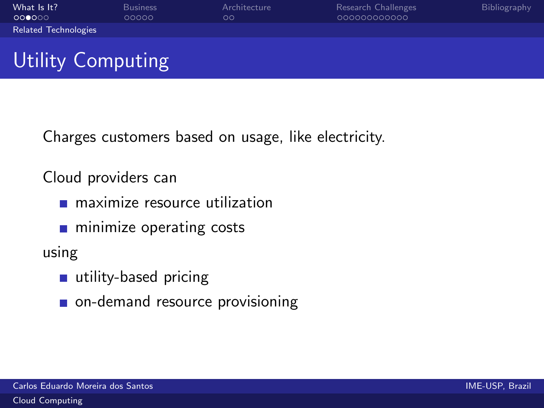| What Is It?                 | <b>Business</b> | Architecture | Research Challenges | Bibliography |
|-----------------------------|-----------------|--------------|---------------------|--------------|
| 000000                      | 00000           | $\circ$      | 000000000000        |              |
| <b>Related Technologies</b> |                 |              |                     |              |

# Utility Computing

Charges customers based on usage, like electricity.

Cloud providers can

- **n** maximize resource utilization
- **n** minimize operating costs

using

- utility-based pricing
- <span id="page-6-0"></span>on-demand resource provisioning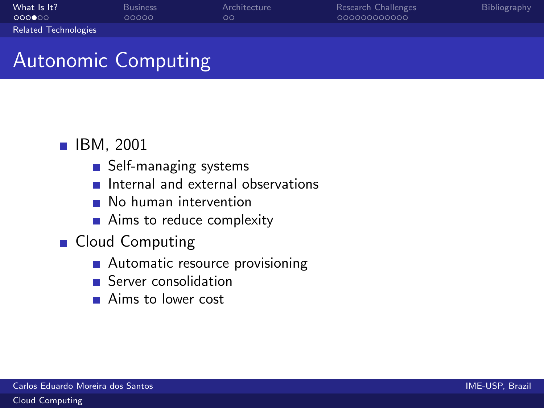| What Is It?                 | <b>Business</b> | Architecture | Research Challenges | <b>Bibliography</b> |
|-----------------------------|-----------------|--------------|---------------------|---------------------|
| <b>COOOO</b>                | 00000           | OΟ           | 000000000000        |                     |
| <b>Related Technologies</b> |                 |              |                     |                     |

# Autonomic Computing

#### **IBM, 2001**

- Self-managing systems
- Internal and external observations  $\mathcal{L}_{\mathcal{A}}$
- **No human intervention**
- <span id="page-7-0"></span>■ Aims to reduce complexity
- **Cloud Computing** 
	- Automatic resource provisioning
	- **Server consolidation**
	- **Aims to lower cost**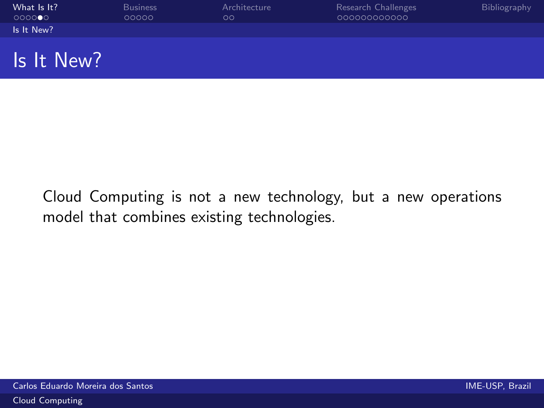| What Is It? | <b>Business</b> | Architecture | Research Challenges | Bibliography |
|-------------|-----------------|--------------|---------------------|--------------|
| 000000      | 00000           | OΟ           | 00000000000         |              |
| Is It New?  |                 |              |                     |              |
|             |                 |              |                     |              |
| Is It New?  |                 |              |                     |              |

<span id="page-8-0"></span>Cloud Computing is not a new technology, but a new operations model that combines existing technologies.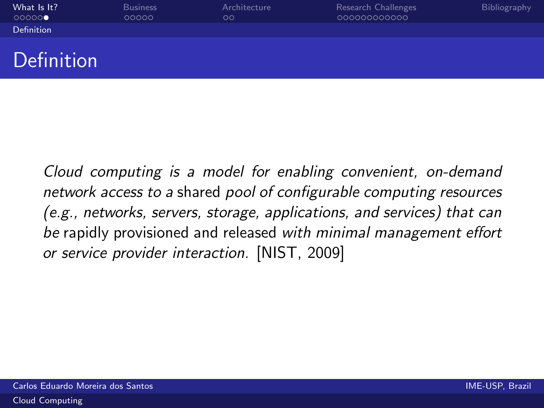| What Is It?       | <b>Business</b> | Architecture | Research Challenges | <b>Bibliography</b> |
|-------------------|-----------------|--------------|---------------------|---------------------|
| 00000             | 00000           | OΟ           | 000000000000        |                     |
| <b>Definition</b> |                 |              |                     |                     |
|                   |                 |              |                     |                     |

### Definition

<span id="page-9-0"></span>Cloud computing is a model for enabling convenient, on-demand network access to a shared pool of configurable computing resources (e.g., networks, servers, storage, applications, and services) that can be rapidly provisioned and released with minimal management effort or service provider interaction. [\[NIST, 2009\]](#page-30-1)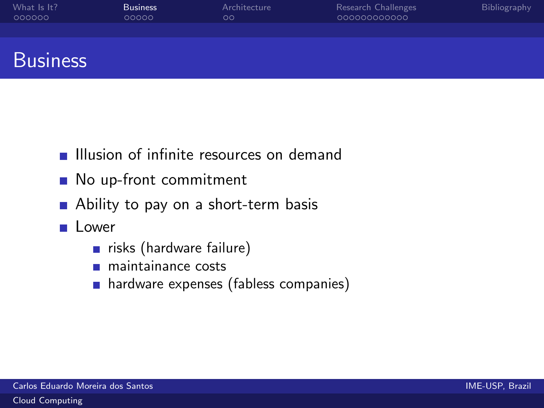| What Is It?<br>000000 | <b>Business</b><br>00000 | Architecture<br>OΟ | Research Challenges<br>000000000000 | <b>Bibliography</b> |
|-----------------------|--------------------------|--------------------|-------------------------------------|---------------------|
|                       |                          |                    |                                     |                     |
|                       |                          |                    |                                     |                     |

### **Business**

- **Illusion of infinite resources on demand**
- No up-front commitment
- Ability to pay on a short-term basis
- <span id="page-10-0"></span>Lower
	- risks (hardware failure)
	- maintainance costs
	- **hardware expenses (fabless companies)**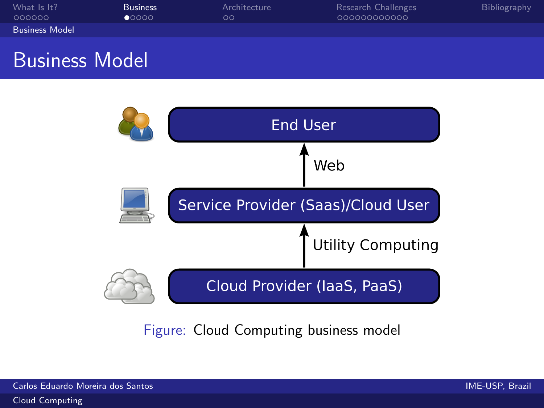| What Is It?           | <b>Business</b> | Architecture | Research Challenges | Bibliography |
|-----------------------|-----------------|--------------|---------------------|--------------|
| -000000               | 00000           | OΟ           | 000000000000        |              |
| <b>Business Model</b> |                 |              |                     |              |

### Business Model



<span id="page-11-0"></span>Figure: Cloud Computing business model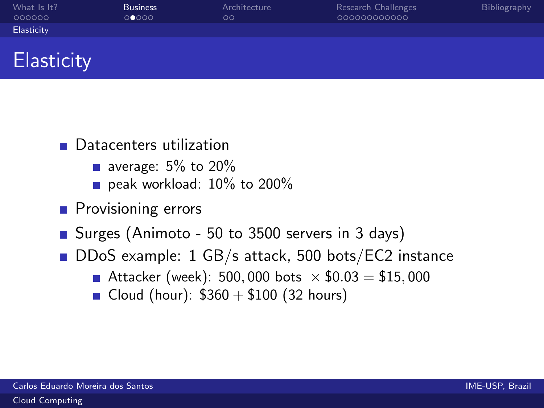| What Is It? | <b>Business</b> | Architecture | Research Challenges | Bibliography |
|-------------|-----------------|--------------|---------------------|--------------|
| 000000      | 00000           | $\circ$      | 000000000000        |              |
| Elasticity  |                 |              |                     |              |

### **Elasticity**

- **Datacenters utilization** 
	- average:  $5\%$  to  $20\%$
	- peak workload: 10% to 200%
- **Provisioning errors**
- Surges [\(Animoto](http://blog.animoto.com/2008/04/21/amazon-ceo-jeff-bezos-on-animoto/) 50 to 3500 servers in 3 days)
- <span id="page-12-0"></span>■ DDoS example: 1 GB/s attack, 500 bots/EC2 instance
	- Attacker (week): 500,000 bots  $\times$  \$0.03 = \$15,000
	- Cloud (hour):  $$360 + $100$  (32 hours)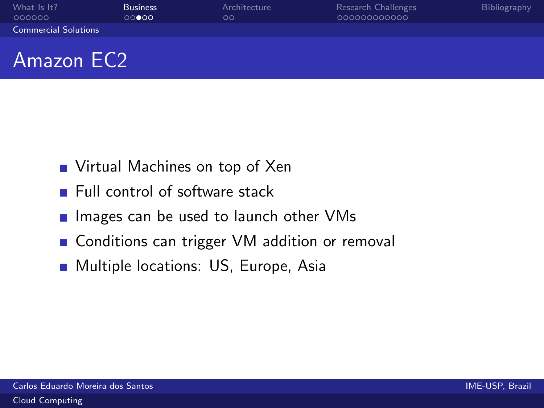| What Is It?<br>000000       | <b>Business</b><br>00000 | Architecture<br>OΟ | Research Challenges<br>000000000000 | Bibliography |
|-----------------------------|--------------------------|--------------------|-------------------------------------|--------------|
| <b>Commercial Solutions</b> |                          |                    |                                     |              |
|                             |                          |                    |                                     |              |

### Amazon EC2

- Virtual Machines on top of Xen
- **Full control of software stack**
- $\blacksquare$  Images can be used to launch other VMs
- Conditions can trigger VM addition or removal
- <span id="page-13-0"></span>**Multiple locations: US, Europe, Asia**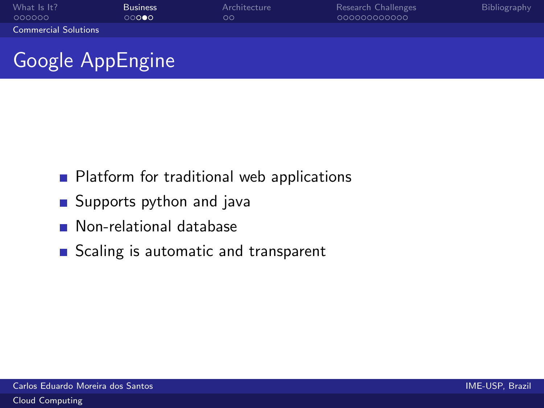| What Is It?                 | <b>Business</b> | Architecture  | Research Challenges | <b>Bibliography</b> |
|-----------------------------|-----------------|---------------|---------------------|---------------------|
| 000000                      | ○○ <b>○●○</b>   | $\circ \circ$ | 000000000000        |                     |
| <b>Commercial Solutions</b> |                 |               |                     |                     |

# Google AppEngine

- **Platform for traditional web applications**
- Supports python and java
- **Non-relational database**
- <span id="page-14-0"></span>Scaling is automatic and transparent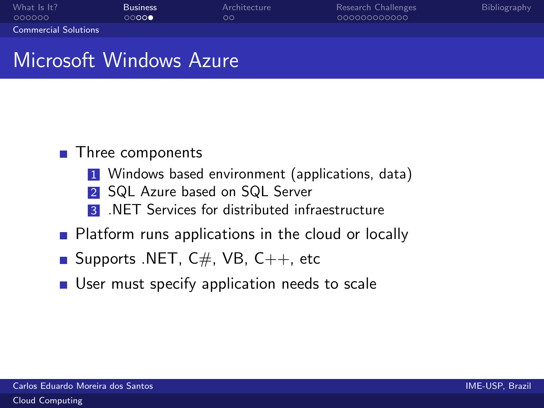| What Is It?                 | <b>Business</b> | Architecture | Research Challenges | Bibliography |
|-----------------------------|-----------------|--------------|---------------------|--------------|
| 000000                      | ಂಂಂ∙            | OΟ           | 000000000000        |              |
| <b>Commercial Solutions</b> |                 |              |                     |              |

### Microsoft Windows Azure

#### ■ Three components

- 1 Windows based environment (applications, data)
- 2 SQL Azure based on SQL Server
- **3** .NET Services for distributed infraestructure
- **Platform runs applications in the cloud or locally**
- Supports .NET,  $C#$ , VB,  $C++$ , etc
- <span id="page-15-0"></span>User must specify application needs to scale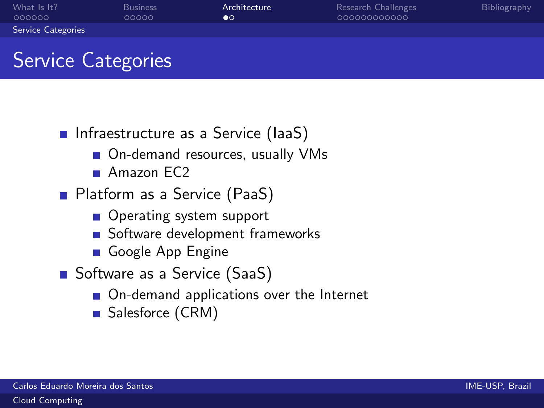| What Is It?               | <b>Business</b> | Architecture   | Research Challenges | Bibliography |
|---------------------------|-----------------|----------------|---------------------|--------------|
| 000000                    | ೧೧೧೧೧           | $\bullet\circ$ | 000000000000        |              |
| <b>Service Categories</b> |                 |                |                     |              |

# Service Categories

- **Infraestructure as a Service (IaaS)** 
	- On-demand resources, usually VMs
	- **Amazon**  $FC2$
- **Platform as a Service (PaaS)** 
	- Operating system support
	- Software development frameworks
	- [Google App Engine](http://code.google.com/appengine/)
- <span id="page-16-0"></span>■ Software as a Service (SaaS)
	- On-demand applications over the Internet
	- [Salesforce \(CRM\)](http://www.salesforce.com/)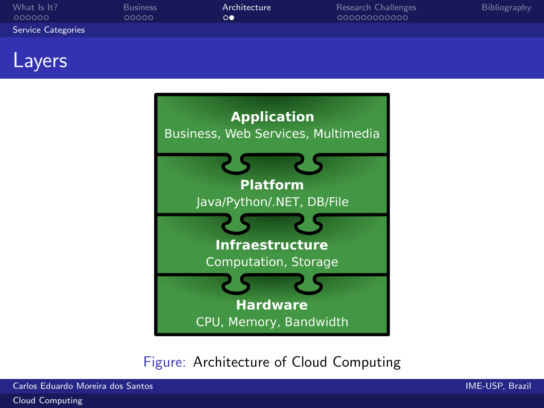| What Is It?               | <b>Business</b> | Architecture    | Research Challenges | <b>Bibliography</b> |
|---------------------------|-----------------|-----------------|---------------------|---------------------|
| 000000                    | 00000           | $\circ \bullet$ | 000000000000        |                     |
| <b>Service Categories</b> |                 |                 |                     |                     |

### Layers



#### Figure: Architecture of Cloud Computing

Carlos Eduardo Moreira dos Santos IME-USP, Brazil

[Cloud Computing](#page-0-0)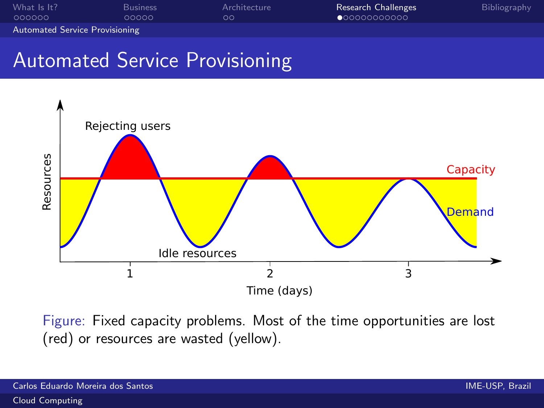| What Is It?                           | <b>Business</b> | Architecture | Research Challenges   | Bibliography |
|---------------------------------------|-----------------|--------------|-----------------------|--------------|
| 000000                                | 00000           | ററ           | $\bullet$ 00000000000 |              |
| <b>Automated Service Provisioning</b> |                 |              |                       |              |

### Automated Service Provisioning



<span id="page-18-0"></span>Figure: Fixed capacity problems. Most of the time opportunities are lost (red) or resources are wasted (yellow).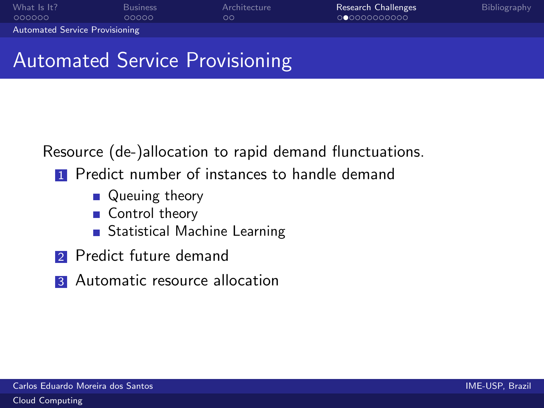| What Is It?                           | <b>Business</b> | Architecture | <b>Research Challenges</b> | Bibliography |
|---------------------------------------|-----------------|--------------|----------------------------|--------------|
| 000000                                | 00000           | OO.          | 00000000000                |              |
| <b>Automated Service Provisioning</b> |                 |              |                            |              |

### Automated Service Provisioning

Resource (de-)allocation to rapid demand flunctuations.

- **1** Predict number of instances to handle demand
	- **Queuing theory**
	- Control theory
	- **Statistical Machine Learning**
- **2** Predict future demand
- <span id="page-19-0"></span>**3** Automatic resource allocation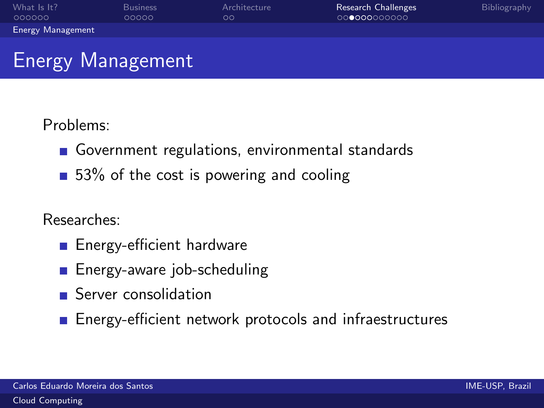| What Is It?              | <b>Business</b> | Architecture | <b>Research Challenges</b> | <b>Bibliography</b> |
|--------------------------|-----------------|--------------|----------------------------|---------------------|
| 000000                   | 00000           | OΟ           | 00000000000                |                     |
| <b>Energy Management</b> |                 |              |                            |                     |

# Energy Management

#### Problems:

- Government regulations, environmental standards
- $\Box$  53% of the cost is powering and cooling

#### Researches:

- **Energy-efficient hardware**
- **Energy-aware job-scheduling**
- **Server consolidation**
- <span id="page-20-0"></span>**Energy-efficient network protocols and infraestructures**

[Cloud Computing](#page-0-0)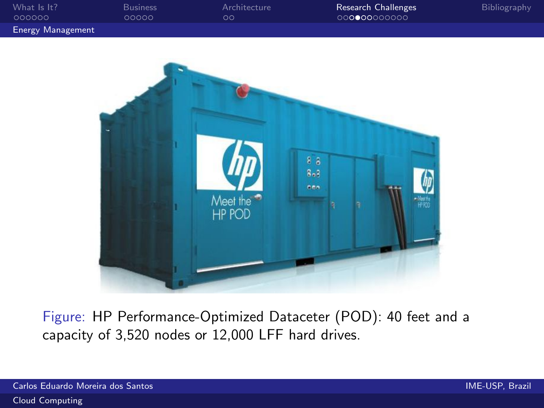| What Is It?              | <b>Business</b> | Architecture | Research Challenges | Bibliography |
|--------------------------|-----------------|--------------|---------------------|--------------|
| 000000                   | 00000           | OΟ           | 00000000000         |              |
| <b>Energy Management</b> |                 |              |                     |              |



Figure: HP Performance-Optimized Dataceter (POD): 40 feet and a capacity of 3,520 nodes or 12,000 LFF hard drives.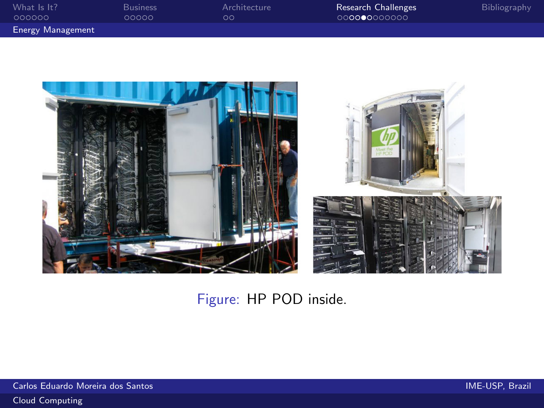| What Is It?              | F |
|--------------------------|---|
| 000000                   | ł |
| <b>Energy Management</b> |   |

Musiness Michitecture R<mark>esearch Challenges</mark> Bibliography<br>Procedure Communication Corporation Corporation Corporation District [Research Challenges](#page-18-0)<br>Corporation Communication Corporation Corporation Corporation Corporation C



#### Figure: HP POD inside.

Carlos Eduardo Moreira dos Santos IME-USP, Brazil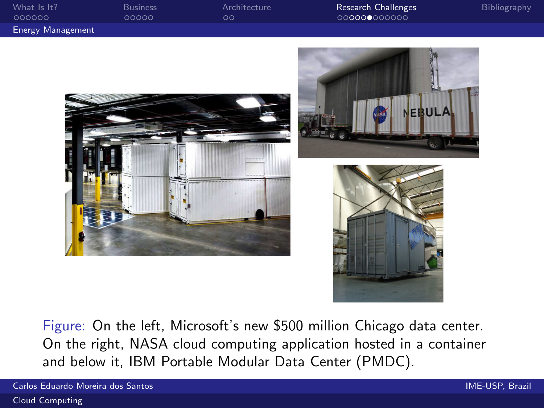| What Is It?              | <b>Business</b> | Architecture | <b>Research Challenges</b> | Bibliography |
|--------------------------|-----------------|--------------|----------------------------|--------------|
| 000000                   | 00000           | ററ           | 000000000000               |              |
| <b>Energy Management</b> |                 |              |                            |              |







Figure: On the left, Microsoft's new \$500 million Chicago data center. On the right, NASA cloud computing application hosted in a container and below it, IBM Portable Modular Data Center (PMDC).

Carlos Eduardo Moreira dos Santos IME-USP, Brazil

[Cloud Computing](#page-0-0)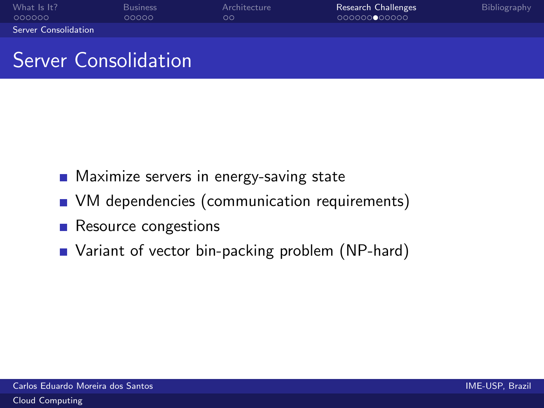| What Is It?                 | <b>Business</b> | Architecture | Research Challenges | <b>Bibliography</b> |
|-----------------------------|-----------------|--------------|---------------------|---------------------|
| - 000000                    | 00000           | $\circ$      | 000000000000        |                     |
| <b>Server Consolidation</b> |                 |              |                     |                     |

### Server Consolidation

- **Maximize servers in energy-saving state**
- **No** VM dependencies (communication requirements)
- Resource congestions
- <span id="page-24-0"></span>■ Variant of vector bin-packing problem (NP-hard)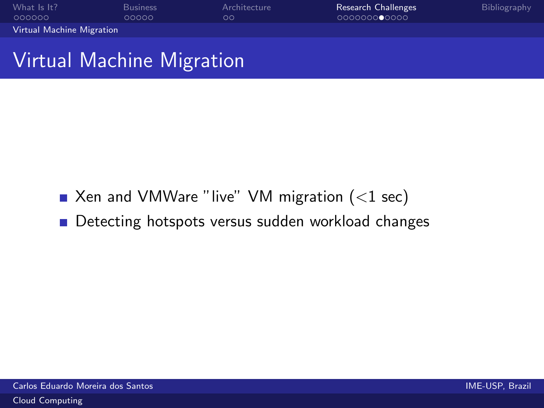| What Is It?               | <b>Business</b> | Architecture | Research Challenges | Bibliography |
|---------------------------|-----------------|--------------|---------------------|--------------|
| 000000                    | 00000           | ററ           | 000000000000        |              |
| Virtual Machine Migration |                 |              |                     |              |

### Virtual Machine Migration

- $\blacksquare$  Xen and VMWare "live" VM migration (<1 sec)
- <span id="page-25-0"></span>Detecting hotspots versus sudden workload changes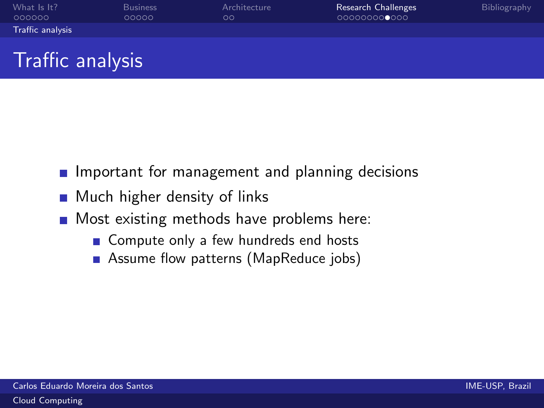| What Is It?      | <b>Business</b> | Architecture | Research Challenges | <b>Bibliography</b> |
|------------------|-----------------|--------------|---------------------|---------------------|
| 000000           | 00000           | OΟ           | 000000000000        |                     |
| Traffic analysis |                 |              |                     |                     |

# Traffic analysis

- **Important for management and planning decisions**
- **Much higher density of links**
- <span id="page-26-0"></span>**Most existing methods have problems here:** 
	- Compute only a few hundreds end hosts
	- Assume flow patterns (MapReduce jobs)  $\mathcal{L}_{\mathcal{A}}$

[Cloud Computing](#page-0-0)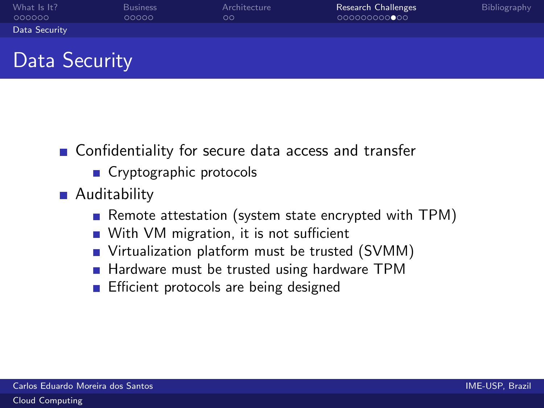| What Is It?<br><b>Business</b> | Architecture | Research Challenges | Bibliography |
|--------------------------------|--------------|---------------------|--------------|
| 000000<br>00000                | $\circ$      | 000000000000        |              |
| Data Security                  |              |                     |              |

## Data Security

- Confidentiality for secure data access and transfer
	- Cryptographic protocols
- <span id="page-27-0"></span>**Auditability** 
	- Remote attestation (system state encrypted with  $TPM$ )
	- With VM migration, it is not sufficient
	- Virtualization platform must be trusted (SVMM)
	- Hardware must be trusted using hardware TPM
	- **Efficient protocols are being designed**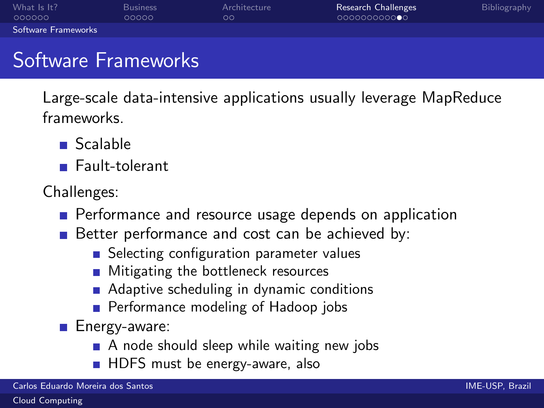| What Is It?         | <b>Business</b> | Architecture | Research Challenges | Bibliography |
|---------------------|-----------------|--------------|---------------------|--------------|
| 000000              | 00000           | ററ           | 000000000000        |              |
| Software Frameworks |                 |              |                     |              |

## Software Frameworks

Large-scale data-intensive applications usually leverage MapReduce frameworks.

- Scalable
- **Fault-tolerant**

Challenges:

- **Performance and resource usage depends on application**
- Better performance and cost can be achieved by:
	- Selecting configuration parameter values
	- **Mitigating the bottleneck resources**
	- **Adaptive scheduling in dynamic conditions**
	- Performance modeling of Hadoop jobs

**Energy-aware:** 

- A node should sleep while waiting new jobs
- <span id="page-28-0"></span>**HDFS** must be energy-aware, also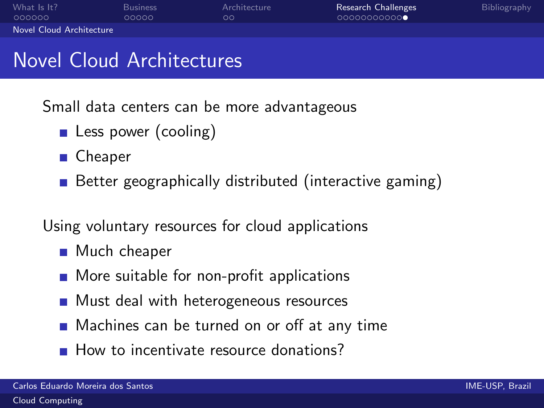| What Is It?              | <b>Business</b> | Architecture  | Research Challenges | Bibliography |
|--------------------------|-----------------|---------------|---------------------|--------------|
| - 000000                 | 00000           | $\circ \circ$ | 00000000000         |              |
| Novel Cloud Architecture |                 |               |                     |              |

### Novel Cloud Architectures

Small data centers can be more advantageous

- **Less power (cooling)**
- Cheaper
- Better geographically distributed (interactive gaming)

Using voluntary resources for cloud applications

- Much cheaper
- **More suitable for non-profit applications**
- **Must deal with heterogeneous resources**
- Machines can be turned on or off at any time
- <span id="page-29-0"></span>How to incentivate resource donations?